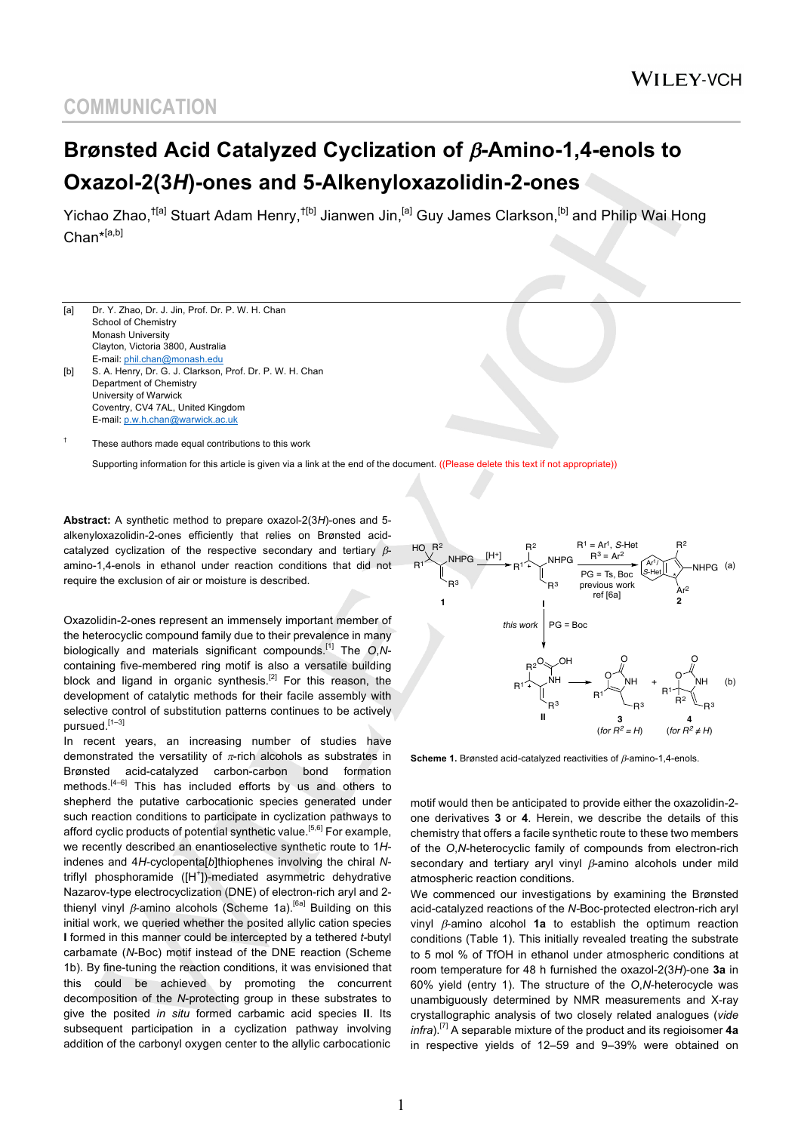# **Brønsted Acid Catalyzed Cyclization of** b**-Amino-1,4-enols to Oxazol-2(3***H***)-ones and 5-Alkenyloxazolidin-2-ones**

Yichao Zhao,<sup>†[a]</sup> Stuart Adam Henry,<sup>†[b]</sup> Jianwen Jin,<sup>[a]</sup> Guy James Clarkson,<sup>[b]</sup> and Philip Wai Hong Chan<sup>\*[a,b]</sup>

[a] Dr. Y. Zhao, Dr. J. Jin, Prof. Dr. P. W. H. Chan School of Chemistry Monash University Clayton, Victoria 3800, Australia E-mail: phil.chan@monash.edu [b] S. A. Henry, Dr. G. J. Clarkson, Prof. Dr. P. W. H. Chan Department of Chemistry University of Warwick Coventry, CV4 7AL, United Kingdom E-mail: p.w.h.chan@warwick.ac.uk

These authors made equal contributions to this work

Supporting information for this article is given via a link at the end of the document. ((Please delete this text if not appropriate))

**Abstract:** A synthetic method to prepare oxazol-2(3*H*)-ones and 5 alkenyloxazolidin-2-ones efficiently that relies on Brønsted acidcatalyzed cyclization of the respective secondary and tertiary  $\beta$ amino-1,4-enols in ethanol under reaction conditions that did not require the exclusion of air or moisture is described.

Oxazolidin-2-ones represent an immensely important member of the heterocyclic compound family due to their prevalence in many biologically and materials significant compounds.[1] The *O*,*N*containing five-membered ring motif is also a versatile building block and ligand in organic synthesis.<sup>[2]</sup> For this reason, the development of catalytic methods for their facile assembly with selective control of substitution patterns continues to be actively pursued. [1–3]

In recent years, an increasing number of studies have demonstrated the versatility of  $\pi$ -rich alcohols as substrates in Brønsted acid-catalyzed carbon-carbon bond formation methods.<sup>[4-6]</sup> This has included efforts by us and others to shepherd the putative carbocationic species generated under such reaction conditions to participate in cyclization pathways to afford cyclic products of potential synthetic value.<sup>[5,6]</sup> For example, we recently described an enantioselective synthetic route to 1*H*indenes and 4*H*-cyclopenta[*b*]thiophenes involving the chiral *N*triflyl phosphoramide ([H<sup>+</sup>])-mediated asymmetric dehydrative Nazarov-type electrocyclization (DNE) of electron-rich aryl and 2 thienyl vinyl  $\beta$ -amino alcohols (Scheme 1a).<sup>[6a]</sup> Building on this initial work, we queried whether the posited allylic cation species **I** formed in this manner could be intercepted by a tethered *t-*butyl carbamate (*N*-Boc) motif instead of the DNE reaction (Scheme 1b). By fine-tuning the reaction conditions, it was envisioned that this could be achieved by promoting the concurrent decomposition of the *N*-protecting group in these substrates to give the posited *in situ* formed carbamic acid species **II**. Its subsequent participation in a cyclization pathway involving addition of the carbonyl oxygen center to the allylic carbocationic



**Scheme 1.** Brønsted acid-catalyzed reactivities of  $\beta$ -amino-1,4-enols.

motif would then be anticipated to provide either the oxazolidin-2 one derivatives **3** or **4**. Herein, we describe the details of this chemistry that offers a facile synthetic route to these two members of the *O*,*N*-heterocyclic family of compounds from electron-rich secondary and tertiary aryl vinyl  $\beta$ -amino alcohols under mild atmospheric reaction conditions.

We commenced our investigations by examining the Brønsted acid-catalyzed reactions of the *N-*Boc-protected electron-rich aryl vinyl  $\beta$ -amino alcohol **1a** to establish the optimum reaction conditions (Table 1). This initially revealed treating the substrate to 5 mol % of TfOH in ethanol under atmospheric conditions at room temperature for 48 h furnished the oxazol-2(3*H*)-one **3a** in 60% yield (entry 1). The structure of the *O*,*N*-heterocycle was unambiguously determined by NMR measurements and X-ray crystallographic analysis of two closely related analogues (*vide infra*). [7] A separable mixture of the product and its regioisomer **4a** in respective yields of 12–59 and 9–39% were obtained on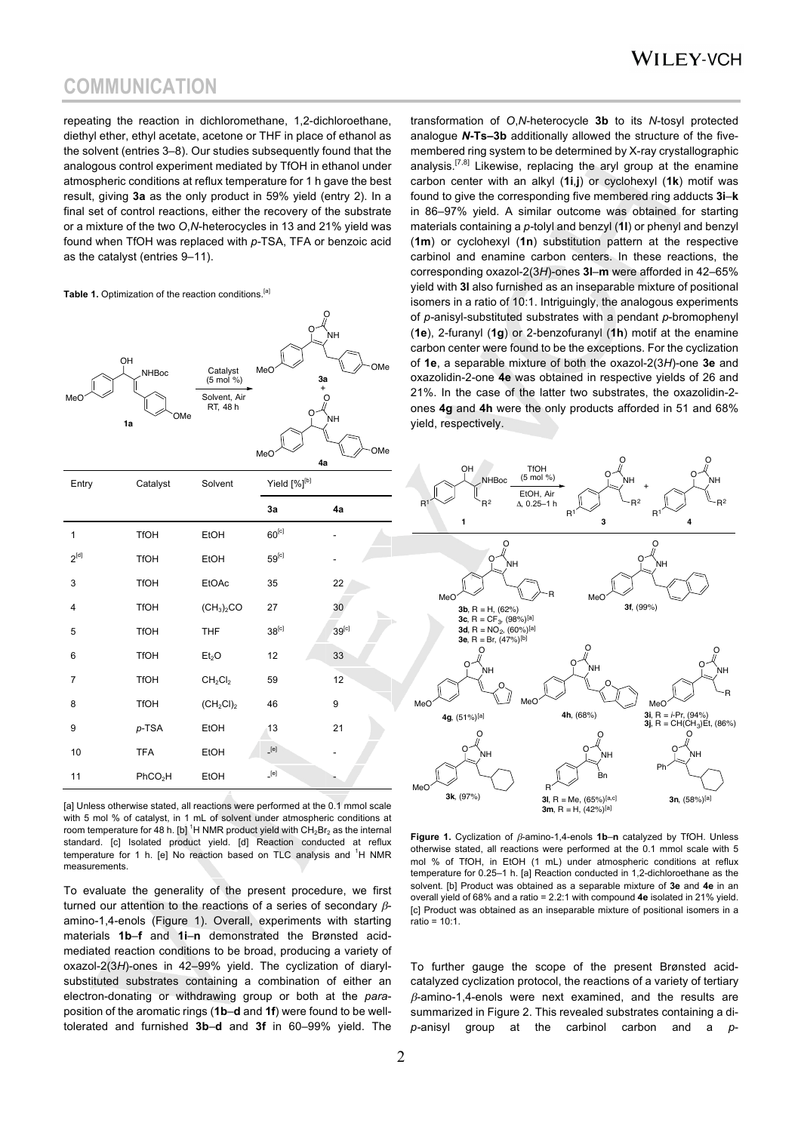### **WILEY-VCH**

### **COMMUNICATION**

repeating the reaction in dichloromethane, 1,2-dichloroethane, diethyl ether, ethyl acetate, acetone or THF in place of ethanol as the solvent (entries 3–8). Our studies subsequently found that the analogous control experiment mediated by TfOH in ethanol under atmospheric conditions at reflux temperature for 1 h gave the best result, giving **3a** as the only product in 59% yield (entry 2). In a final set of control reactions, either the recovery of the substrate or a mixture of the two *O*,*N*-heterocycles in 13 and 21% yield was found when TfOH was replaced with *p-*TSA, TFA or benzoic acid as the catalyst (entries 9–11).

#### Table 1. Optimization of the reaction conditions.<sup>[a]</sup>

| OH<br>MeC      | <b>NHBoc</b><br>OMe<br>1a | Catalyst<br>$(5 \text{ mol } %$<br>Solvent, Air<br>RT, 48 h | O<br>MeC<br>3a<br>$\ddot{}$<br>O<br>MeO<br>4a                                                                                                                                                                                                                                                                                                                                                                                                                                                                                                                                                                                                                                                   | ပ္ပ<br>ÌΝH<br>OMe<br>O<br>`NΗ<br>OMe |
|----------------|---------------------------|-------------------------------------------------------------|-------------------------------------------------------------------------------------------------------------------------------------------------------------------------------------------------------------------------------------------------------------------------------------------------------------------------------------------------------------------------------------------------------------------------------------------------------------------------------------------------------------------------------------------------------------------------------------------------------------------------------------------------------------------------------------------------|--------------------------------------|
| Entry          | Catalyst                  | Solvent                                                     | Yield [%] <sup>[b]</sup>                                                                                                                                                                                                                                                                                                                                                                                                                                                                                                                                                                                                                                                                        |                                      |
|                |                           |                                                             | 3a                                                                                                                                                                                                                                                                                                                                                                                                                                                                                                                                                                                                                                                                                              | 4a                                   |
| 1              | <b>TfOH</b>               | EtOH                                                        | $60^{[c]}$                                                                                                                                                                                                                                                                                                                                                                                                                                                                                                                                                                                                                                                                                      |                                      |
| $2^{[d]}$      | <b>TfOH</b>               | EtOH                                                        | $59^{[c]}$                                                                                                                                                                                                                                                                                                                                                                                                                                                                                                                                                                                                                                                                                      |                                      |
| 3              | <b>TfOH</b>               | <b>EtOAc</b>                                                | 35                                                                                                                                                                                                                                                                                                                                                                                                                                                                                                                                                                                                                                                                                              | 22                                   |
| $\overline{4}$ | <b>TfOH</b>               | (CH <sub>3</sub> ) <sub>2</sub> CO                          | 27                                                                                                                                                                                                                                                                                                                                                                                                                                                                                                                                                                                                                                                                                              | 30                                   |
| 5              | <b>TfOH</b>               | <b>THF</b>                                                  | $38^{[c]}$                                                                                                                                                                                                                                                                                                                                                                                                                                                                                                                                                                                                                                                                                      | 39 <sup>[c]</sup>                    |
| 6              | <b>TfOH</b>               | Et <sub>2</sub> O                                           | 12                                                                                                                                                                                                                                                                                                                                                                                                                                                                                                                                                                                                                                                                                              | 33                                   |
| $\overline{7}$ | <b>TfOH</b>               | CH <sub>2</sub> Cl <sub>2</sub>                             | 59                                                                                                                                                                                                                                                                                                                                                                                                                                                                                                                                                                                                                                                                                              | 12                                   |
| 8              | <b>TfOH</b>               | $(CH_2Cl)_2$                                                | 46                                                                                                                                                                                                                                                                                                                                                                                                                                                                                                                                                                                                                                                                                              | 9                                    |
| 9              | $p$ -TSA                  | EtOH                                                        | 13                                                                                                                                                                                                                                                                                                                                                                                                                                                                                                                                                                                                                                                                                              | 21                                   |
| 10             | <b>TFA</b>                | EtOH                                                        | $[e]$                                                                                                                                                                                                                                                                                                                                                                                                                                                                                                                                                                                                                                                                                           |                                      |
| 11             | PhCO <sub>2</sub> H       | EtOH                                                        | $[e] \centering% \includegraphics[width=1.0\textwidth]{Figures/PN1.png} \caption{The 3D (black) model for the $z$-axis. The left side is the same as in Figure \ref{fig:13}. The right side is the same as in Figure \ref{fig:13}. The right side is the same as in Figure \ref{fig:13}. The right side is the same as in Figure \ref{fig:13}. The right side is the same as inFigure \ref{fig:13}. The right side is the same as inFigure \ref{fig:13}. The right side is the same as inFigure \ref{fig:13}. The right side is the same as inFigure \ref{fig:13}. The right side is the same as inFigure \ref{fig:13}. The right side is the same as inFigure \ref{fig:13}. The right side is$ |                                      |

[a] Unless otherwise stated, all reactions were performed at the 0.1 mmol scale with 5 mol % of catalyst, in 1 mL of solvent under atmospheric conditions at room temperature for 48 h. [b] <sup>1</sup>H NMR product yield with CH<sub>2</sub>Br<sub>2</sub> as the internal standard. [c] Isolated product yield. [d] Reaction conducted at reflux temperature for 1 h. [e] No reaction based on TLC analysis and <sup>1</sup>H NMR measurements.

To evaluate the generality of the present procedure, we first turned our attention to the reactions of a series of secondary  $\beta$ amino-1,4-enols (Figure 1). Overall, experiments with starting materials **1b**–**f** and **1i**–**n** demonstrated the Brønsted acidmediated reaction conditions to be broad, producing a variety of oxazol-2(3*H*)-ones in 42–99% yield. The cyclization of diarylsubstituted substrates containing a combination of either an electron-donating or withdrawing group or both at the *para*position of the aromatic rings (**1b**–**d** and **1f**) were found to be welltolerated and furnished **3b**–**d** and **3f** in 60–99% yield. The transformation of *O*,*N*-heterocycle **3b** to its *N*-tosyl protected analogue *N***-Ts–3b** additionally allowed the structure of the fivemembered ring system to be determined by X-ray crystallographic analysis.<sup>[7,8]</sup> Likewise, replacing the aryl group at the enamine carbon center with an alkyl (**1i**,**j**) or cyclohexyl (**1k**) motif was found to give the corresponding five membered ring adducts **3i**–**k** in 86–97% yield. A similar outcome was obtained for starting materials containing a *p-*tolyl and benzyl (**1l**) or phenyl and benzyl (**1m**) or cyclohexyl (**1n**) substitution pattern at the respective carbinol and enamine carbon centers. In these reactions, the corresponding oxazol-2(3*H*)-ones **3l**–**m** were afforded in 42–65% yield with **3l** also furnished as an inseparable mixture of positional isomers in a ratio of 10:1. Intriguingly, the analogous experiments of *p-*anisyl-substituted substrates with a pendant *p*-bromophenyl (**1e**), 2-furanyl (**1g**) or 2-benzofuranyl (**1h**) motif at the enamine carbon center were found to be the exceptions. For the cyclization of **1e**, a separable mixture of both the oxazol-2(3*H*)-one **3e** and oxazolidin-2-one **4e** was obtained in respective yields of 26 and 21%. In the case of the latter two substrates, the oxazolidin-2 ones **4g** and **4h** were the only products afforded in 51 and 68% yield, respectively.



Figure 1. Cyclization of  $\beta$ -amino-1,4-enols 1b-n catalyzed by TfOH. Unless otherwise stated, all reactions were performed at the 0.1 mmol scale with 5 mol % of TfOH, in EtOH (1 mL) under atmospheric conditions at reflux temperature for 0.25–1 h. [a] Reaction conducted in 1,2-dichloroethane as the solvent. [b] Product was obtained as a separable mixture of **3e** and **4e** in an overall yield of 68% and a ratio = 2.2:1 with compound **4e** isolated in 21% yield. [c] Product was obtained as an inseparable mixture of positional isomers in a ratio = 10:1.

To further gauge the scope of the present Brønsted acidcatalyzed cyclization protocol, the reactions of a variety of tertiary  $\beta$ -amino-1,4-enols were next examined, and the results are summarized in Figure 2. This revealed substrates containing a di*p-*anisyl group at the carbinol carbon and a *p*-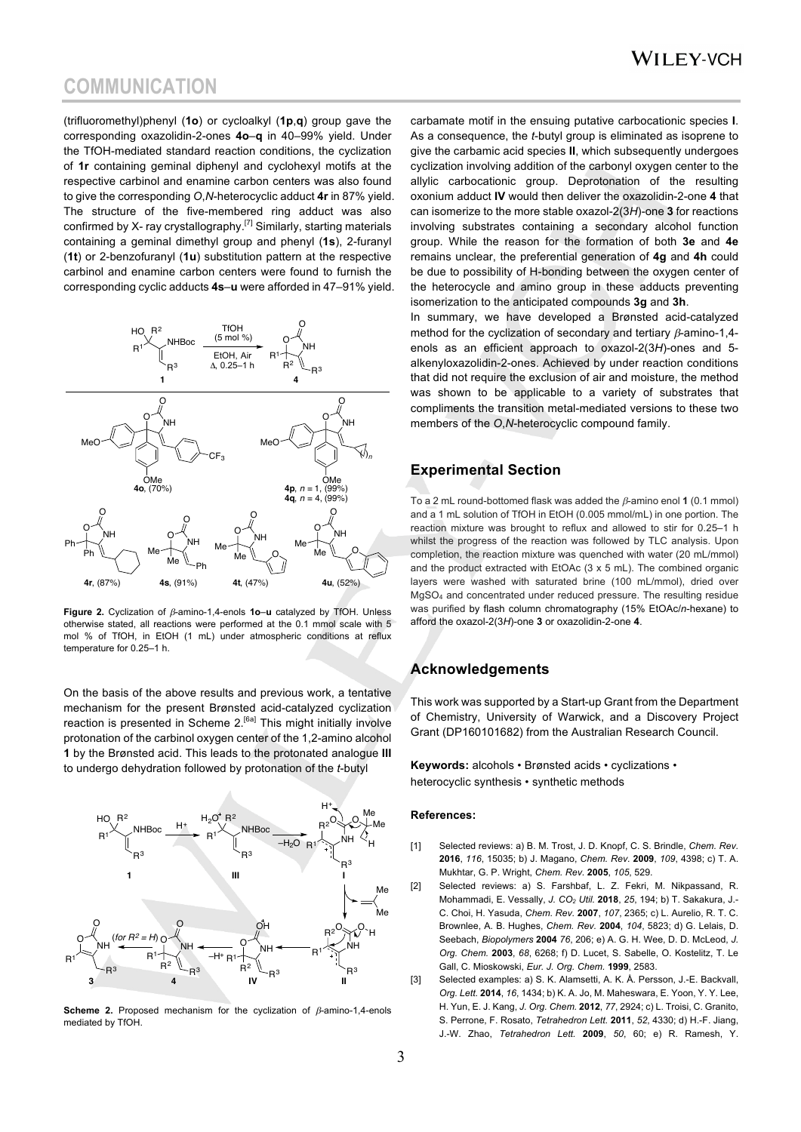### **COMMUNICATION**

(trifluoromethyl)phenyl (**1o**) or cycloalkyl (**1p**,**q**) group gave the corresponding oxazolidin-2-ones **4o**–**q** in 40–99% yield. Under the TfOH-mediated standard reaction conditions, the cyclization of **1r** containing geminal diphenyl and cyclohexyl motifs at the respective carbinol and enamine carbon centers was also found to give the corresponding *O*,*N*-heterocyclic adduct **4r** in 87% yield. The structure of the five-membered ring adduct was also confirmed by X- ray crystallography.<sup>[7]</sup> Similarly, starting materials containing a geminal dimethyl group and phenyl (**1s**), 2-furanyl (**1t**) or 2-benzofuranyl (**1u**) substitution pattern at the respective carbinol and enamine carbon centers were found to furnish the corresponding cyclic adducts **4s**–**u** were afforded in 47–91% yield.



**Figure 2.** Cyclization of  $\beta$ -amino-1.4-enols **1o**-u catalyzed by TfOH. Unless otherwise stated, all reactions were performed at the 0.1 mmol scale with 5 mol % of TfOH, in EtOH (1 mL) under atmospheric conditions at reflux temperature for 0.25–1 h.

On the basis of the above results and previous work, a tentative mechanism for the present Brønsted acid-catalyzed cyclization reaction is presented in Scheme  $2.^{[6a]}$  This might initially involve protonation of the carbinol oxygen center of the 1,2-amino alcohol **1** by the Brønsted acid. This leads to the protonated analogue **III** to undergo dehydration followed by protonation of the *t*-butyl



**Scheme 2.** Proposed mechanism for the cyclization of  $\beta$ -amino-1,4-enols mediated by TfOH.

carbamate motif in the ensuing putative carbocationic species **I**. As a consequence, the *t*-butyl group is eliminated as isoprene to give the carbamic acid species **II**, which subsequently undergoes cyclization involving addition of the carbonyl oxygen center to the allylic carbocationic group. Deprotonation of the resulting oxonium adduct **IV** would then deliver the oxazolidin-2-one **4** that can isomerize to the more stable oxazol-2(3*H*)-one **3** for reactions involving substrates containing a secondary alcohol function group. While the reason for the formation of both **3e** and **4e** remains unclear, the preferential generation of **4g** and **4h** could be due to possibility of H-bonding between the oxygen center of the heterocycle and amino group in these adducts preventing isomerization to the anticipated compounds **3g** and **3h**.

In summary, we have developed a Brønsted acid-catalyzed method for the cyclization of secondary and tertiary  $\beta$ -amino-1,4enols as an efficient approach to oxazol-2(3*H*)-ones and 5 alkenyloxazolidin-2-ones. Achieved by under reaction conditions that did not require the exclusion of air and moisture, the method was shown to be applicable to a variety of substrates that compliments the transition metal-mediated versions to these two members of the *O*,*N*-heterocyclic compound family.

### **Experimental Section**

To a 2 mL round-bottomed flask was added the  $\beta$ -amino enol **1** (0.1 mmol) and a 1 mL solution of TfOH in EtOH (0.005 mmol/mL) in one portion. The reaction mixture was brought to reflux and allowed to stir for 0.25–1 h whilst the progress of the reaction was followed by TLC analysis. Upon completion, the reaction mixture was quenched with water (20 mL/mmol) and the product extracted with EtOAc (3 x 5 mL). The combined organic layers were washed with saturated brine (100 mL/mmol), dried over MgSO4 and concentrated under reduced pressure. The resulting residue was purified by flash column chromatography (15% EtOAc/*n*-hexane) to afford the oxazol-2(3*H*)-one **3** or oxazolidin-2-one **4**.

### **Acknowledgements**

This work was supported by a Start-up Grant from the Department of Chemistry, University of Warwick, and a Discovery Project Grant (DP160101682) from the Australian Research Council.

**Keywords:** alcohols • Brønsted acids • cyclizations • heterocyclic synthesis • synthetic methods

#### **References:**

- [1] Selected reviews: a) B. M. Trost, J. D. Knopf, C. S. Brindle, *Chem. Rev.*  **2016**, *116*, 15035; b) J. Magano, *Chem. Rev.* **2009**, *109*, 4398; c) T. A. Mukhtar, G. P. Wright, *Chem. Rev.* **2005**, *105*, 529.
- [2] Selected reviews: a) S. Farshbaf, L. Z. Fekri, M. Nikpassand, R. Mohammadi, E. Vessally, *J. CO2 Util.* **2018**, *25*, 194; b) T. Sakakura, J.- C. Choi, H. Yasuda, *Chem. Rev.* **2007**, *107*, 2365; c) L. Aurelio, R. T. C. Brownlee, A. B. Hughes, *Chem. Rev.* **2004**, *104*, 5823; d) G. Lelais, D. Seebach, *Biopolymers* **2004** *76*, 206; e) A. G. H. Wee, D. D. McLeod, *J. Org. Chem.* **2003**, *68*, 6268; f) D. Lucet, S. Sabelle, O. Kostelitz, T. Le Gall, C. Mioskowski, *Eur. J. Org. Chem.* **1999**, 2583.
- [3] Selected examples: a) S. K. Alamsetti, A. K. Å. Persson, J.-E. Backvall, *Org. Lett.* **2014**, *16*, 1434; b) K. A. Jo, M. Maheswara, E. Yoon, Y. Y. Lee, H. Yun, E. J. Kang, *J. Org. Chem.* **2012**, *77*, 2924; c) L. Troisi, C. Granito, S. Perrone, F. Rosato, *Tetrahedron Lett.* **2011**, *52*, 4330; d) H.-F. Jiang, J.-W. Zhao, *Tetrahedron Lett.* **2009**, *50*, 60; e) R. Ramesh, Y.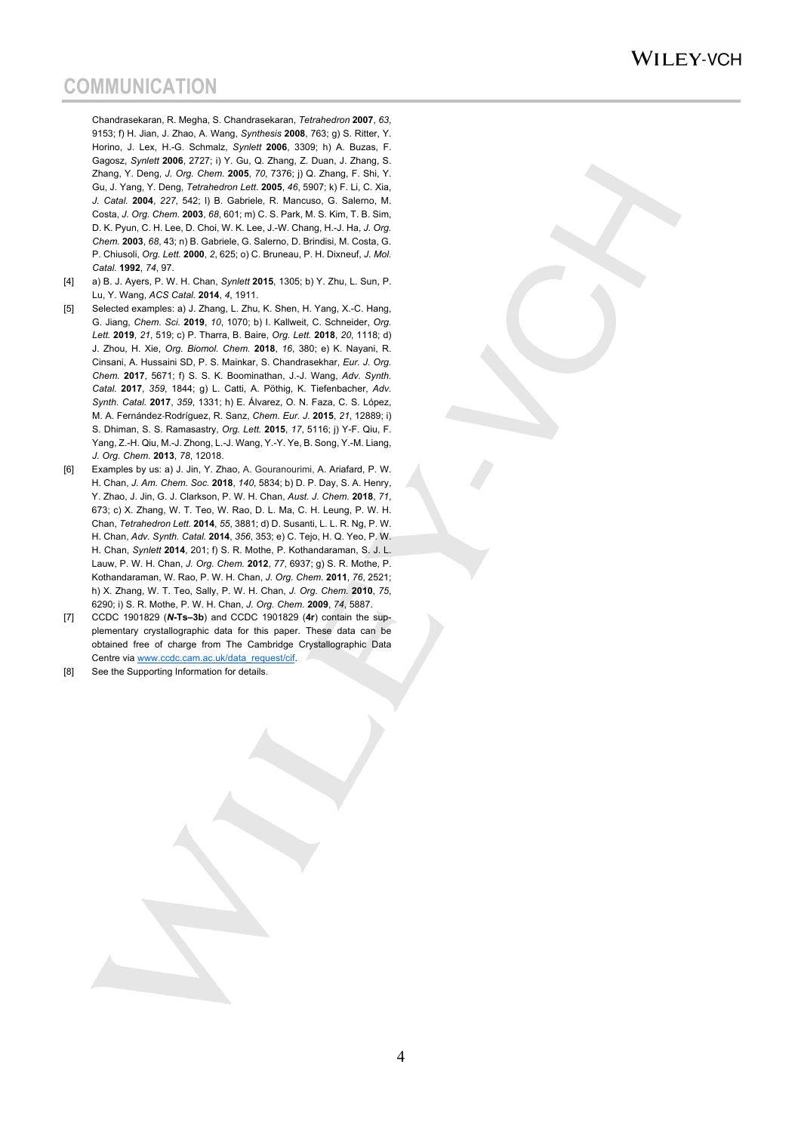### WILEY-VCH

## **COMMUNICATION**

Chandrasekaran, R. Megha, S. Chandrasekaran, *Tetrahedron* **2007**, *63*, 9153; f) H. Jian, J. Zhao, A. Wang, *Synthesis* **2008**, 763; g) S. Ritter, Y. Horino, J. Lex, H.-G. Schmalz, *Synlett* **2006**, 3309; h) A. Buzas, F. Gagosz, *Synlett* **2006**, 2727; i) Y. Gu, Q. Zhang, Z. Duan, J. Zhang, S. Zhang, Y. Deng, *J. Org. Chem.* **2005**, *70*, 7376; j) Q. Zhang, F. Shi, Y. Gu, J. Yang, Y. Deng, *Tetrahedron Lett*. **2005**, *46*, 5907; k) F. Li, C. Xia, *J. Catal.* **2004**, *227*, 542; l) B. Gabriele, R. Mancuso, G. Salerno, M. Costa, *J. Org. Chem.* **2003**, *68*, 601; m) C. S. Park, M. S. Kim, T. B. Sim, D. K. Pyun, C. H. Lee, D. Choi, W. K. Lee, J.-W. Chang, H.-J. Ha, *J. Org. Chem.* **2003**, *68*, 43; n) B. Gabriele, G. Salerno, D. Brindisi, M. Costa, G. P. Chiusoli, *Org. Lett.* **2000**, *2*, 625; o) C. Bruneau, P. H. Dixneuf, *J. Mol. Catal.* **1992**, *74*, 97.

- [4] a) B. J. Ayers, P. W. H. Chan, *Synlett* **2015**, 1305; b) Y. Zhu, L. Sun, P. Lu, Y. Wang, *ACS Catal.* **2014**, *4*, 1911.
- [5] Selected examples: a) J. Zhang, L. Zhu, K. Shen, H. Yang, X.-C. Hang, G. Jiang, *Chem. Sci.* **2019**, *10*, 1070; b) I. Kallweit, C. Schneider, *Org. Lett.* **2019**, *21*, 519; c) P. Tharra, B. Baire, *Org. Lett.* **2018**, *20*, 1118; d) J. Zhou, H. Xie, *Org. Biomol. Chem.* **2018**, *16*, 380; e) K. Nayani, R. Cinsani, A. Hussaini SD, P. S. Mainkar, S. Chandrasekhar, *Eur. J. Org. Chem.* **2017**, 5671; f) S. S. K. Boominathan, J.-J. Wang, *Adv. Synth. Catal.* **2017**, *359*, 1844; g) L. Catti, A. Pöthig, K. Tiefenbacher, *Adv. Synth. Catal.* **2017**, *359*, 1331; h) E. Álvarez, O. N. Faza, C. S. López, M. A. Fernández-Rodríguez, R. Sanz, *Chem. Eur. J.* **2015**, *21*, 12889; i) S. Dhiman, S. S. Ramasastry, *Org. Lett.* **2015**, *17*, 5116; j) Y-F. Qiu, F. Yang, Z.-H. Qiu, M.-J. Zhong, L.-J. Wang, Y.-Y. Ye, B. Song, Y.-M. Liang, *J. Org. Chem.* **2013**, *78*, 12018.
- [6] Examples by us: a) J. Jin, Y. Zhao, A. Gouranourimi, A. Ariafard, P. W. H. Chan, *J. Am. Chem. Soc.* **2018**, *140*, 5834; b) D. P. Day, S. A. Henry, Y. Zhao, J. Jin, G. J. Clarkson, P. W. H. Chan, *Aust. J. Chem.* **2018**, *71*, 673; c) X. Zhang, W. T. Teo, W. Rao, D. L. Ma, C. H. Leung, P. W. H. Chan, *Tetrahedron Lett.* **2014**, *55*, 3881; d) D. Susanti, L. L. R. Ng, P. W. H. Chan, *Adv. Synth. Catal.* **2014**, *356*, 353; e) C. Tejo, H. Q. Yeo, P. W. H. Chan, *Synlett* **2014**, 201; f) S. R. Mothe, P. Kothandaraman, S. J. L. Lauw, P. W. H. Chan, *J. Org. Chem.* **2012**, *77*, 6937; g) S. R. Mothe, P. Kothandaraman, W. Rao, P. W. H. Chan, *J. Org. Chem.* **2011**, *76*, 2521; h) X. Zhang, W. T. Teo, Sally, P. W. H. Chan, *J. Org. Chem.* **2010**, *75*, 6290; i) S. R. Mothe, P. W. H. Chan, *J. Org. Chem.* **2009**, *74*, 5887.
- [7] CCDC 1901829 (*N***-Ts–3b**) and CCDC 1901829 (**4r**) contain the supplementary crystallographic data for this paper. These data can be obtained free of charge from The Cambridge Crystallographic Data Centre via www.ccdc.cam.ac.uk/data\_request/cif.
- [8] See the Supporting Information for details.